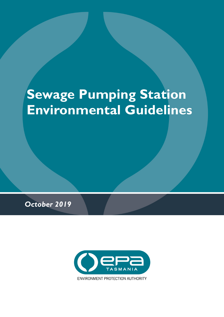# **Sewage Pumping Station Environmental Guidelines**

*October 2019*

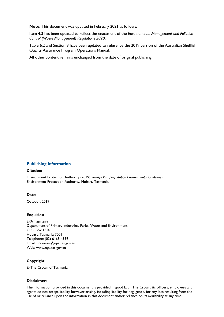**Note:** This document was updated in February 2021 as follows:

Item 4.3 has been updated to reflect the enactment of the *Environmental Management and Pollution Control (Waste Management) Regulations 2020*.

Table 6.2 and Section 9 have been updated to reference the 2019 version of the Australian Shellfish Quality Assurance Program Operations Manual.

All other content remains unchanged from the date of original publishing.

#### **Publishing Information**

#### **Citation:**

Environment Protection Authority (2019) *Sewage Pumping Station Environmental Guidelines*, Environment Protection Authority, Hobart, Tasmania.

#### **Date:**

October, 2019

#### **Enquiries:**

EPA Tasmania Department of Primary Industries, Parks, Water and Environment GPO Box 1550 Hobart, Tasmania 7001 Telephone: (03) 6165 4599 Email: Enquiries@epa.tas.gov.au Web: www.epa.tas.gov.au

#### **Copyright:**

© The Crown of Tasmania

#### **Disclaimer:**

The information provided in this document is provided in good faith. The Crown, its officers, employees and agents do not accept liability however arising, including liability for negligence, for any loss resulting from the use of or reliance upon the information in this document and/or reliance on its availability at any time.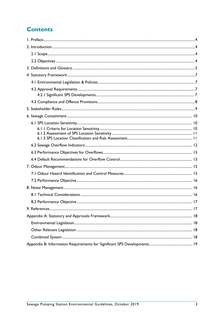# **Contents**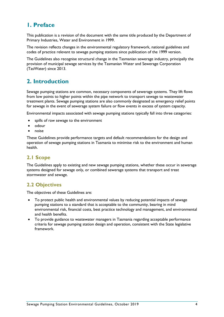# <span id="page-3-0"></span>**1. Preface**

This publication is a revision of the document with the same title produced by the Department of Primary Industries, Water and Environment in 1999.

The revision reflects changes in the environmental regulatory framework, national guidelines and codes of practice relevant to sewage pumping stations since publication of the 1999 version.

The Guidelines also recognise structural change in the Tasmanian sewerage industry, principally the provision of municipal sewage services by the Tasmanian Water and Sewerage Corporation (TasWater) since 2013.

# <span id="page-3-1"></span>**2. Introduction**

Sewage pumping stations are common, necessary components of sewerage systems. They lift flows from low points to higher points within the pipe network to transport sewage to wastewater treatment plants. Sewage pumping stations are also commonly designated as emergency relief points for sewage in the event of sewerage system failure or flow events in excess of system capacity.

Environmental impacts associated with sewage pumping stations typically fall into three categories:

- spills of raw sewage to the environment
- odour
- noise

These Guidelines provide performance targets and default recommendations for the design and operation of sewage pumping stations in Tasmania to minimise risk to the environment and human health.

## <span id="page-3-2"></span>**2.1 Scope**

The Guidelines apply to existing and new sewage pumping stations, whether these occur in sewerage systems designed for sewage only, or combined sewerage systems that transport and treat stormwater and sewage.

## <span id="page-3-3"></span>**2.2 Objectives**

The objectives of these Guidelines are:

- To protect public health and environmental values by reducing potential impacts of sewage pumping stations to a standard that is acceptable to the community, bearing in mind environmental risk, financial costs, best practice technology and management, and environmental and health benefits.
- To provide guidance to wastewater managers in Tasmania regarding acceptable performance criteria for sewage pumping station design and operation, consistent with the State legislative framework.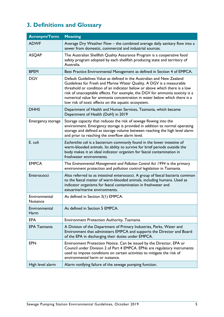# <span id="page-4-0"></span>**3. Definitions and Glossary**

| <b>Acronym/Term</b>       | <b>Meaning</b>                                                                                                                                                                                                                                                                                                                                                                                                                                  |
|---------------------------|-------------------------------------------------------------------------------------------------------------------------------------------------------------------------------------------------------------------------------------------------------------------------------------------------------------------------------------------------------------------------------------------------------------------------------------------------|
| <b>ADWF</b>               | Average Dry Weather Flow - the combined average daily sanitary flow into a<br>sewer from domestic, commercial and industrial sources.                                                                                                                                                                                                                                                                                                           |
| <b>ASQAP</b>              | The Australian Shellfish Quality Assurance Program is a cooperative food<br>safety program adopted by each shellfish producing state and territory of<br>Australia.                                                                                                                                                                                                                                                                             |
| <b>BPEM</b>               | Best Practice Environmental Management as defined in Section 4 of EMPCA.                                                                                                                                                                                                                                                                                                                                                                        |
| <b>DGV</b>                | Default Guidelines Value as defined in the Australian and New Zealand<br>Guidelines for Fresh and Marine Water Quality. A DGV is a measurable<br>threshold or condition of an indicator below or above which there is a low<br>risk of unacceptable effects. For example, the DGV for ammonia toxicity is a<br>numerical value for ammonia concentration in water below which there is a<br>low risk of toxic effects on the aquatic ecosystem. |
| <b>DHHS</b>               | Department of Health and Human Services, Tasmania, which became<br>Department of Health (DoH) in 2019                                                                                                                                                                                                                                                                                                                                           |
| Emergency storage         | Storage capacity that reduces the risk of sewage flowing into the<br>environment. Emergency storage is provided in addition to normal operating<br>storage and defined as storage volume between reaching the high level alarm<br>and prior to reaching the overflow alarm level.                                                                                                                                                               |
| E. coli                   | Escherichia coli is a bacterium commonly found in the lower intestine of<br>warm-blooded animals. Its ability to survive for brief periods outside the<br>body makes it an ideal indicator organism for faecal contamination in<br>freshwater environments.                                                                                                                                                                                     |
| <b>EMPCA</b>              | The Environmental Management and Pollution Control Act 1994 is the primary<br>environment protection and pollution control legislation in Tasmania.                                                                                                                                                                                                                                                                                             |
| Enterococci               | Also referred to as intestinal enterococci. A group of faecal bacteria common<br>to the faecal matter of warm-blooded animals, including humans. Used as<br>indicator organisms for faecal contamination in freshwater and<br>estuarine/marine environments.                                                                                                                                                                                    |
| Environmental<br>Nuisance | As defined in Section 3(1) EMPCA.                                                                                                                                                                                                                                                                                                                                                                                                               |
| Environmental<br>Harm     | As defined in Section 5 EMPCA.                                                                                                                                                                                                                                                                                                                                                                                                                  |
| <b>EPA</b>                | <b>Environment Protection Authority, Tasmania</b>                                                                                                                                                                                                                                                                                                                                                                                               |
| <b>EPA Tasmania</b>       | A Division of the Department of Primary Industries, Parks, Water and<br>Environment that administers EMPCA and supports the Director and Board<br>of the EPA in discharging their duties under EMPCA.                                                                                                                                                                                                                                           |
| <b>EPN</b>                | Environment Protection Notice. Can be issued by the Director, EPA or<br>Council under Division 2 of Part 4 EMPCA. EPNs are regulatory instruments<br>used to impose conditions on certain activities to mitigate the risk of<br>environmental harm or nuisance.                                                                                                                                                                                 |
| High level alarm          | Alarm notifying failure of the sewage pumping function.                                                                                                                                                                                                                                                                                                                                                                                         |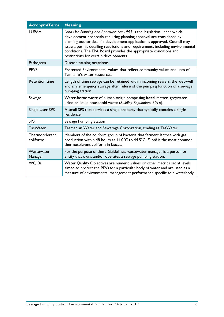| <b>Acronym/Term</b>         | <b>Meaning</b>                                                                                                                                                                                                                                                                                                                                                                                                                 |
|-----------------------------|--------------------------------------------------------------------------------------------------------------------------------------------------------------------------------------------------------------------------------------------------------------------------------------------------------------------------------------------------------------------------------------------------------------------------------|
| <b>LUPAA</b>                | Land Use Planning and Approvals Act 1993 is the legislation under which<br>development proposals requiring planning approval are considered by<br>planning authorities. If a development application is approved, Council may<br>issue a permit detailing restrictions and requirements including environmental<br>conditions. The EPA Board provides the appropriate conditions and<br>restrictions for certain developments. |
| Pathogens                   | Disease causing organisms                                                                                                                                                                                                                                                                                                                                                                                                      |
| <b>PEVS</b>                 | Protected Environmental Values that reflect community values and uses of<br>Tasmania's water resources.                                                                                                                                                                                                                                                                                                                        |
| <b>Retention time</b>       | Length of time sewage can be retained within incoming sewers, the wet-well<br>and any emergency storage after failure of the pumping function of a sewage<br>pumping station.                                                                                                                                                                                                                                                  |
| Sewage                      | Water-borne waste of human origin comprising faecal matter, greywater,<br>urine or liquid household waste (Building Regulations 2016).                                                                                                                                                                                                                                                                                         |
| Single User SPS             | A small SPS that services a single property that typically contains a single<br>residence.                                                                                                                                                                                                                                                                                                                                     |
| <b>SPS</b>                  | Sewage Pumping Station                                                                                                                                                                                                                                                                                                                                                                                                         |
| <b>TasWater</b>             | Tasmanian Water and Sewerage Corporation, trading as TasWater.                                                                                                                                                                                                                                                                                                                                                                 |
| Thermotolerant<br>coliforms | Members of the coliform group of bacteria that ferment lactose with gas<br>production within 48 hours at 44.0°C to 44.5°C. E. coli is the most common<br>thermotolerant coliform in faeces.                                                                                                                                                                                                                                    |
| Wastewater<br>Manager       | For the purpose of these Guidelines, wastewater manager is a person or<br>entity that owns and/or operates a sewage pumping station.                                                                                                                                                                                                                                                                                           |
| <b>WQOs</b>                 | Water Quality Objectives are numeric values or other metrics set at levels<br>aimed to protect the PEVs for a particular body of water and are used as a<br>measure of environmental management performance specific to a waterbody.                                                                                                                                                                                           |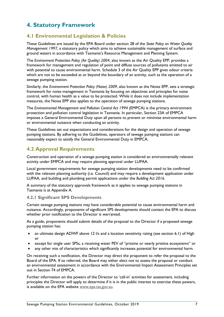# <span id="page-6-0"></span>**4. Statutory Framework**

## <span id="page-6-1"></span>**4.1 Environmental Legislation & Policies**

These Guidelines are issued by the EPA Board under section 28 of the *State Policy on Water Quality Management 1997,* a statutory policy which aims to achieve sustainable management of surface and ground waters in accordance with Tasmania's Resource Management and Planning System.

The *Environment Protection Policy (Air Quality) 2004*, also known as the Air Quality EPP, provides a framework for management and regulation of point and diffuse sources of pollutants emitted to air with potential to cause environmental harm. Schedule 3 of the Air Quality EPP gives odour criteria which are not to be exceeded at or beyond the boundary of an activity, such as the operation of a sewage pumping station.

Similarly, the *Environment Protection Policy (Noise) 2009*, also known as the Noise EPP, sets a strategic framework for noise management in Tasmania by focusing on objectives and principles for noise control, with human health as a value to be protected. While it does not include implementation measures, the Noise EPP also applies to the operation of sewage pumping stations.

The *Environmental Management and Pollution Control Act 1994* (EMPCA) is the primary environment protection and pollution control legislation in Tasmania. In particular, Section 23A of EMPCA imposes a General Environmental Duty upon all persons to prevent or minimise environmental harm or environmental nuisance when conducting an activity.

These Guidelines set out expectations and considerations for the design and operation of sewage pumping stations. By adhering to the Guidelines, operators of sewage pumping stations can reasonably expect to satisfy the General Environmental Duty in EMPCA.

## <span id="page-6-2"></span>**4.2 Approval Requirements**

Construction and operation of a sewage pumping station is considered an environmentally relevant activity under EMPCA and may require planning approval under LUPAA.

Local government requirements for sewage pumping station developments need to be confirmed with the relevant planning authority (i.e. Council) and may require a development application under LUPAA, and building and plumbing permit applications under the *Building Act 2016*.

A summary of the statutory approvals framework as it applies to sewage pumping stations in Tasmania is at Appendix A.

## <span id="page-6-3"></span>**4.2.1 Significant SPS Developments**

Certain sewage pumping stations may have considerable potential to cause environmental harm and nuisance. Accordingly, proponents of significant SPS developments should contact the EPA to discuss whether prior notification to the Director is warranted.

As a guide, proponents should submit details of the proposal to the Director if a proposed sewage pumping station has:

- an ultimate design ADWF above 12 l/s and a location sensitivity rating (see section 6.1) of High or
- except for single user SPSs, a receiving water PEV of "pristine or nearly pristine ecosystems" or
- any other mix of characteristics which significantly increases potential for environmental harm.

On receiving such a notification, the Director may direct the proponent to refer the proposal to the Board of the EPA. If so referred, the Board may either elect not to assess the proposal or conduct an environmental assessment in accordance with the Environmental Impact Assessment Principles set out in Section 74 of EMPCA.

Further information on the powers of the Director to 'call-in' activities for assessment, including principles the Director will apply to determine if it is in the public interest to exercise these powers, is available on the EPA website [www.epa.tas.gov.au.](https://epa.tas.gov.au/epa)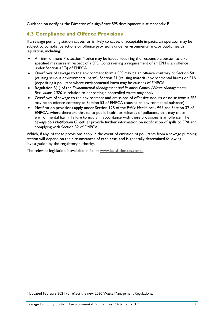Guidance on notifying the Director of a significant SPS development is at Appendix B.

## <span id="page-7-0"></span>**4.3 Compliance and Offence Provisions**

If a sewage pumping station causes, or is likely to cause, unacceptable impacts, an operator may be subject to compliance actions or offence provisions under environmental and/or public health legislation, including:

- An Environment Protection Notice may be issued requiring the responsible person to take specified measures in respect of a SPS. Contravening a requirement of an EPN is an offence under Section 45(3) of EMPCA.
- Overflows of sewage to the environment from a SPS may be an offence contrary to Section 50 (causing serious environmental harm), Section 51 (causing material environmental harm) or 51A (depositing a pollutant where environmental harm may be caused) of EMPCA.
- Regulation 8(1) of the *Environmental Management and Pollution Control (Waste Management) Regulations 2020* in relation to depositing a controlled waste may apply.[1](#page-7-1)
- Overflows of sewage to the environment and emissions of offensive odours or noise from a SPS may be an offence contrary to Section 53 of EMPCA (causing an environmental nuisance).
- Notification provisions apply under Section 128 of the *Public Health Act 1997* and Section 32 of EMPCA, where there are threats to public health or releases of pollutants that may cause environmental harm. Failure to notify in accordance with these provisions is an offence. The *Sewage Spill Notification Guidelines* provide further information on notification of spills to EPA and complying with Section 32 of EMPCA.

Which, if any, of these provisions apply in the event of emission of pollutants from a sewage pumping station will depend on the circumstances of each case, and is generally determined following investigation by the regulatory authority.

The relevant legislation is available in full at [www.legislation.tas.gov.au](http://www.legislation.tas.gov.au/)

<span id="page-7-1"></span><sup>&</sup>lt;sup>1</sup> Updated February 2021 to reflect the new 2020 Waste Management Regulations.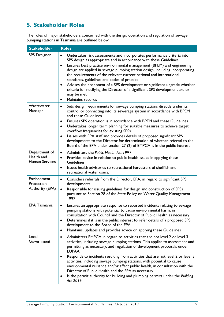# <span id="page-8-0"></span>**5. Stakeholder Roles**

The roles of major stakeholders concerned with the design, operation and regulation of sewage pumping stations in Tasmania are outlined below.

| <b>Stakeholder</b>                                   | <b>Roles</b>                                                                                                                                                                                                                                                                                                                                                                                                                                                                                                                                                                                                                                                       |
|------------------------------------------------------|--------------------------------------------------------------------------------------------------------------------------------------------------------------------------------------------------------------------------------------------------------------------------------------------------------------------------------------------------------------------------------------------------------------------------------------------------------------------------------------------------------------------------------------------------------------------------------------------------------------------------------------------------------------------|
| <b>SPS Designer</b>                                  | Undertakes risk assessments and incorporates performance criteria into<br>$\bullet$<br>SPS design as appropriate and in accordance with these Guidelines<br>Ensures best practice environmental management (BPEM) and engineering<br>$\bullet$<br>design are applied in sewage pumping station design, including incorporating<br>the requirements of the relevant current national and international<br>standards, guidelines and codes of practice<br>Advises the proponent of a SPS development or significant upgrade whether<br>٠<br>criteria for notifying the Director of a significant SPS development are or<br>may be met<br>Maintains records<br>٠      |
| Wastewater<br>Manager                                | Sets design requirements for sewage pumping stations directly under its<br>$\bullet$<br>control or connecting into its sewerage system in accordance with BPEM<br>and these Guidelines<br>Ensures SPS operation is in accordance with BPEM and these Guidelines<br>Undertakes longer term planning for suitable measures to achieve target<br>$\bullet$<br>overflow frequencies for existing SPSs<br>Liaises with EPA staff and provides details of proposed significant SPS<br>$\bullet$<br>developments to the Director for determination of whether referral to the<br>Board of the EPA under section 27 (2) of EMPCA is in the public interest                 |
| Department of<br>Health and<br><b>Human Services</b> | Administers the Public Health Act 1997<br>$\bullet$<br>Provides advice in relation to public health issues in applying these<br>٠<br><b>Guidelines</b><br>Issues health advisories to recreational harvesters of shellfish and<br>$\bullet$<br>recreational water users.                                                                                                                                                                                                                                                                                                                                                                                           |
| Environment<br>Protection<br>Authority (EPA)         | Considers referrals from the Director, EPA, in regard to significant SPS<br>$\bullet$<br>developments<br>Responsible for issuing guidelines for design and construction of SPSs<br>$\bullet$<br>pursuant to Section 28 of the State Policy on Water Quality Management<br>1997                                                                                                                                                                                                                                                                                                                                                                                     |
| <b>EPA Tasmania</b>                                  | Ensures an appropriate response to reported incidents relating to sewage<br>$\bullet$<br>pumping stations with potential to cause environmental harm, in<br>consultation with Council and the Director of Public Health as necessary<br>Determines if it is in the public interest to refer details of a proposed SPS<br>$\bullet$<br>development to the Board of the EPA<br>Maintains, updates and provides advice on applying these Guidelines<br>٠                                                                                                                                                                                                              |
| Local<br>Government                                  | Administers EMPCA in regard to activities that are not level 2 or level 3<br>٠<br>activities, including sewage pumping stations. This applies to assessment and<br>permitting as necessary, and regulation of development proposals under<br><b>LUPAA</b><br>Responds to incidents resulting from activities that are not level 2 or level 3<br>٠<br>activities, including sewage pumping stations, with potential to cause<br>environmental nuisance and/or affect public health, in consultation with the<br>Director of Public Health and the EPA as necessary<br>Is the permit authority for building and plumbing permits under the Building<br>٠<br>Act 2016 |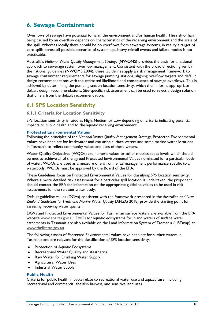# <span id="page-9-0"></span>**6. Sewage Containment**

Overflows of sewage have potential to harm the environment and/or human health. The risk of harm being caused by an overflow depends on characteristics of the receiving environment and the scale of the spill. Whereas ideally there should be no overflows from sewerage systems, in reality a target of zero spills across all possible scenarios of system age, heavy rainfall events and failure modes is not practicable.

Australia's *National Water Quality Management Strategy* (NWQMS) provides the basis for a national approach to sewerage system overflow management. Consistent with the broad direction given by the national guidelines (NWQMS 2004), these Guidelines apply a risk management framework to sewage containment requirements for sewage pumping stations, aligning overflow targets and default design recommendations with the estimated likelihood and consequence of sewage overflows. This is achieved by determining the pumping station location sensitivity, which then informs appropriate default design recommendations. Site-specific risk assessment can be used to select a design solution that differs from the default recommendation.

## <span id="page-9-1"></span>**6.1 SPS Location Sensitivity**

## <span id="page-9-2"></span>**6.1.1 Criteria for Location Sensitivity**

SPS location sensitivity is rated as High, Medium or Low depending on criteria indicating potential impacts to public health and to the aquatic receiving environment.

#### **Protected Environmental Values**

Following the principles of the *National Water Quality Management Strategy*, Protected Environmental Values have been set for freshwater and estuarine surface waters and some marine water locations in Tasmania to reflect community values and uses of these waters.

Water Quality Objectives (WQOs) are numeric values or other metrics set at levels which should be met to achieve all of the agreed Protected Environmental Values nominated for a particular body of water. WQOs are used as a measure of environmental management performance specific to a waterbody. WQOs must be approved by the Board of the EPA.

These Guidelines focus on Protected Environmental Values for classifying SPS location sensitivity. Where a more detailed risk assessment for a particular spill location is undertaken, the proponent should contact the EPA for information on the appropriate guideline values to be used in risk assessments for the relevant water body.

Default guideline values (DGVs) consistent with the framework presented in the *Australian and New Zealand Guidelines for Fresh and Marine Water Quality* (ANZG 2018) provide the starting point for assessing receiving water quality.

DGVs and Protected Environmental Values for Tasmanian surface waters are available from the EPA website [www.epa.tas.gov.au.](https://epa.tas.gov.au/epa) DVGs for aquatic ecosystems for inland waters of surface water catchments in Tasmania are also available on the Land Information System of Tasmania (LISTmap) at [www.thelist.tas.gov.au.](http://www.thelist.tas.gov.au/)

The following classes of Protected Environmental Values have been set for surface waters in Tasmania and are relevant for the classification of SPS location sensitivity:

- Protection of Aquatic Ecosystems
- Recreational Water Quality and Aesthetics
- Raw Water for Drinking Water Supply
- Agricultural Water Uses
- Industrial Water Supply

#### **Public Health**

Criteria for public health impacts relate to recreational water use and aquaculture, including recreational and commercial shellfish harvest, and sensitive land uses.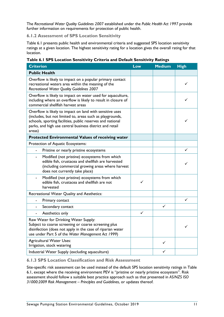The *Recreational Water Quality Guidelines 2007* established under the *Public Health Act 1997* provide further information on requirements for protection of public health.

## <span id="page-10-0"></span>**6.1.2 Assessment of SPS Location Sensitivity**

Table 6.1 presents public health and environmental criteria and suggested SPS location sensitivity ratings at a given location. The highest sensitivity rating for a location gives the overall rating for that location.

|  |  |  | Table 6.1 SPS Location Sensitivity Criteria and Default Sensitivity Ratings |
|--|--|--|-----------------------------------------------------------------------------|
|--|--|--|-----------------------------------------------------------------------------|

| <b>Criterion</b>                                                                                                                                                                                                                                          | Low | <b>Medium</b> | <b>High</b> |
|-----------------------------------------------------------------------------------------------------------------------------------------------------------------------------------------------------------------------------------------------------------|-----|---------------|-------------|
| <b>Public Health</b>                                                                                                                                                                                                                                      |     |               |             |
| Overflow is likely to impact on a popular primary contact<br>recreational waters area within the meaning of the<br>Recreational Water Quality Guidelines 2007                                                                                             |     |               |             |
| Overflow is likely to impact on water used for aquaculture,<br>including where an overflow is likely to result in closure of<br>commercial shellfish harvest areas                                                                                        |     |               |             |
| Overflow is likely to impact on land with sensitive uses<br>(includes, but not limited to, areas such as playgrounds,<br>schools, sporting facilities, public reserves and national<br>parks, and high use central business district and retail<br>areas) |     |               |             |
| Protected Environmental Values of receiving water                                                                                                                                                                                                         |     |               |             |
| Protection of Aquatic Ecosystems:                                                                                                                                                                                                                         |     |               |             |
| Pristine or nearly pristine ecosystems                                                                                                                                                                                                                    |     |               | ✓           |
| Modified (not pristine) ecosystems from which<br>$\blacksquare$<br>edible fish, crustacea and shellfish are harvested<br>(including commercial growing areas where harvest<br>does not currently take place)                                              |     |               |             |
| Modified (not pristine) ecosystems from which<br>edible fish, crustacea and shellfish are not<br>harvested                                                                                                                                                | ✓   |               |             |
| Recreational Water Quality and Aesthetics:                                                                                                                                                                                                                |     |               |             |
| Primary contact<br>$\overline{\phantom{a}}$                                                                                                                                                                                                               |     |               | ✓           |
| Secondary contact                                                                                                                                                                                                                                         |     | ✓             |             |
| Aesthetics only<br>$\overline{\phantom{a}}$                                                                                                                                                                                                               | ✓   |               |             |
| Raw Water for Drinking Water Supply:<br>Subject to coarse screening or coarse screening plus<br>disinfection (does not apply in the case of riparian water<br>use under Part 5 of the Water Management Act 1999)                                          |     |               |             |
| <b>Agricultural Water Uses:</b><br>Irrigation, stock watering                                                                                                                                                                                             |     | ✓             |             |
| Industrial Water Supply (excluding aquaculture)                                                                                                                                                                                                           |     |               |             |

## <span id="page-10-1"></span>**6.1.3 SPS Location Classification and Risk Assessment**

Site-specific risk assessment can be used instead of the default SPS location sensitivity ratings in Table 6.1, except where the receiving environment PEV is "pristine or nearly pristine ecosystem". Risk assessment should follow a suitable best practice approach such as that presented in *AS/NZS ISO 31000:2009 Risk Management – Principles and Guidelines*, or updates thereof.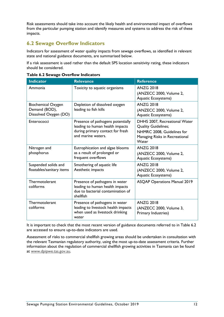Risk assessments should take into account the likely health and environmental impact of overflows from the particular pumping station and identify measures and systems to address the risk of these impacts.

## <span id="page-11-0"></span>**6.2 Sewage Overflow Indicators**

Indicators for assessment of water quality impacts from sewage overflows, as identified in relevant state and national guidance documents, are summarised below.

If a risk assessment is used rather than the default SPS location sensitivity rating, these indicators should be considered.

| <b>Indicator</b>                                                    | <b>Relevance</b>                                                                                                               | <b>Reference</b>                                                                                                                     |
|---------------------------------------------------------------------|--------------------------------------------------------------------------------------------------------------------------------|--------------------------------------------------------------------------------------------------------------------------------------|
| Ammonia                                                             | Toxicity to aquatic organisms                                                                                                  | <b>ANZG 2018</b><br>(ANZECC 2000, Volume 2,<br>Aquatic Ecosystems)                                                                   |
| <b>Biochemical Oxygen</b><br>Demand (BOD),<br>Dissolved Oxygen (DO) | Depletion of dissolved oxygen<br>leading to fish kills                                                                         | <b>ANZG 2018</b><br>(ANZECC 2000, Volume 2,<br>Aquatic Ecosystems)                                                                   |
| Enterococci                                                         | Presence of pathogens potentially<br>leading to human health impacts<br>during primary contact for fresh<br>and marine waters. | DHHS 2007, Recreational Water<br><b>Quality Guidelines;</b><br>NHMRC 2008, Guidelines for<br>Managing Risks in Recreational<br>Water |
| Nitrogen and<br>phosphorus                                          | Eutrophication and algae blooms<br>as a result of prolonged or<br>frequent overflows                                           | <b>ANZG 2018</b><br>(ANZECC 2000, Volume 2,<br>Aquatic Ecosystems)                                                                   |
| Suspended solids and<br>floatables/sanitary items                   | Smothering of aquatic life<br>Aesthetic impacts                                                                                | <b>ANZG 2018</b><br>(ANZECC 2000, Volume 2,<br>Aquatic Ecosystems)                                                                   |
| Thermotolerant<br>coliforms                                         | Presence of pathogens in water<br>leading to human health impacts<br>due to bacterial contamination of<br>shellfish            | <b>ASQAP Operations Manual 2019</b>                                                                                                  |
| Thermotolerant<br>coliforms                                         | Presence of pathogens in water<br>leading to livestock health impacts<br>when used as livestock drinking<br>water              | <b>ANZG 2018</b><br>(ANZECC 2000, Volume 3,<br>Primary Industries)                                                                   |

|  |  |  | Table 6.2 Sewage Overflow Indicators |
|--|--|--|--------------------------------------|
|--|--|--|--------------------------------------|

It is important to check that the most recent version of guidance documents referred to in Table 6.2 are accessed to ensure up-to-date indicators are used.

Assessment of risks to commercial shellfish growing areas should be undertaken in consultation with the relevant Tasmanian regulatory authority, using the most up-to-date assessment criteria. Further information about the regulation of commercial shellfish growing activities in Tasmania can be found at [www.dpipwe.tas.gov.au.](http://www.dpipwe.tas.gov.au/)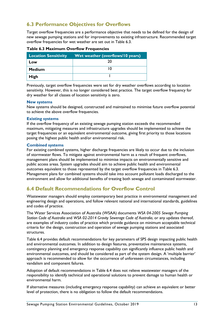## <span id="page-12-0"></span>**6.3 Performance Objectives for Overflows**

Target overflow frequencies are a performance objective that needs to be defined for the design of new sewage pumping stations and for improvements to existing infrastructure. Recommended target overflow frequencies for wet weather are set out in Table 6.3.

|               | Location Sensitivity Wet weather (overflows/10 years) |
|---------------|-------------------------------------------------------|
| Low           | 20                                                    |
| <b>Medium</b> |                                                       |
| High          |                                                       |

#### **Table 6.3 Maximum Overflow Frequencies**

Previously, target overflow frequencies were set for dry weather overflows according to location sensitivity. However, this is no longer considered best practice. The target overflow frequency for dry weather for all classes of location sensitivity is zero.

#### **New systems**

New systems should be designed, constructed and maintained to minimise future overflow potential to achieve the above overflow frequencies.

#### **Existing systems**

If the overflow frequency of an existing sewage pumping station exceeds the recommended maximum, mitigating measures and infrastructure upgrades should be implemented to achieve the target frequencies or an equivalent environmental outcome, giving first priority to those locations posing the highest public health and/or environmental risk.

#### **Combined systems**

For existing combined systems, higher discharge frequencies are likely to occur due to the inclusion of stormwater flows. To mitigate against environmental harm as a result of frequent overflows, management plans should be implemented to minimise impacts on environmentally sensitive and public access areas. System upgrades should aim to achieve public health and environmental outcomes equivalent to those represented by the target overflow frequencies in Table 6.3. Management plans for combined systems should take into account pollutant loads discharged to the environment and allow for additional benefits of treating both sewage and contaminated stormwater.

## <span id="page-12-1"></span>**6.4 Default Recommendations for Overflow Control**

Wastewater managers should employ contemporary best practice in environmental management and engineering design and operations, and follow relevant national and international standards, guidelines and codes of practice.

The Water Services Association of Australia (WSAA) documents *WSA 04-2005 Sewage Pumping Station Code of Australia* and *WSA 02-2014 Gravity Sewerage Code of Australia*, or any updates thereof, are examples of industry codes of practice which provide guidance on minimum acceptable technical criteria for the design, construction and operation of sewage pumping stations and associated structures.

Table 6.4 provides default recommendations for key parameters of SPS design impacting public health and environmental outcomes. In addition to design features, preventative maintenance systems, contingency planning and emergency response capability can significantly influence public health and environmental outcomes, and should be considered as part of the system design. A 'multiple barrier' approach is recommended to allow for the occurrence of unforeseen circumstances, including vandalism and component failures.

Adoption of default recommendations in Table 6.4 does not relieve wastewater managers of the responsibility to identify technical and operational solutions to prevent damage to human health or environmental harm.

If alternative measures (including emergency response capability) can achieve an equivalent or better level of protection, there is no obligation to follow the default recommendations.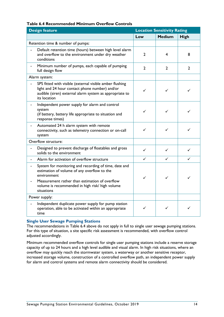## **Table 6.4 Recommended Minimum Overflow Controls**

| <b>Design feature</b><br><b>Location Sensitivity Rating</b>                                                                                                                                                                            |                |                |                |
|----------------------------------------------------------------------------------------------------------------------------------------------------------------------------------------------------------------------------------------|----------------|----------------|----------------|
|                                                                                                                                                                                                                                        | Low            | <b>Medium</b>  | High           |
| Retention time & number of pumps:                                                                                                                                                                                                      |                |                |                |
| Default retention time (hours) between high level alarm<br>and overflow to the environment under dry weather<br>conditions                                                                                                             | 2              | 4              | 8              |
| Minimum number of pumps, each capable of pumping<br>$\blacksquare$<br>full design flow                                                                                                                                                 | $\overline{2}$ | $\overline{2}$ | $\overline{2}$ |
| Alarm system:                                                                                                                                                                                                                          |                |                |                |
| SPS fitted with visible (external visible amber flushing<br>light and 24 hour contact phone number) and/or<br>audible (siren) external alarm system as appropriate to<br>its location                                                  | ✓              | ✓              |                |
| Independent power supply for alarm and control<br>system<br>(if battery, battery life appropriate to situation and<br>response times)                                                                                                  | ✓              | ✓              |                |
| Automated 24 h alarm system with remote<br>connectivity, such as telemetry connection or on-call<br>system                                                                                                                             | ✓              | ✓              |                |
| Overflow structure:                                                                                                                                                                                                                    |                |                |                |
| Designed to prevent discharge of floatables and gross<br>solids to the environment                                                                                                                                                     | ✓              | ✓              |                |
| Alarm for activation of overflow structure                                                                                                                                                                                             | ✓              | ✓              | ✓              |
| System for monitoring and recording of time, date and<br>estimation of volume of any overflow to the<br>environment<br>Measurement rather than estimation of overflow<br>volume is recommended in high risk/ high volume<br>situations | ✓              | ✓              | ✓              |
| Power supply:                                                                                                                                                                                                                          |                |                |                |
| Independent duplicate power supply for pump station<br>operation, able to be activated within an appropriate<br>time                                                                                                                   | ✓              | ✓              |                |

#### **Single User Sewage Pumping Stations**

The recommendations in Table 6.4 above do not apply in full to single user sewage pumping stations. For this type of situation, a site specific risk assessment is recommended, with overflow control adjusted accordingly.

Minimum recommended overflow controls for single user pumping stations include a reserve storage capacity of up to 24 hours and a high level audible and visual alarm. In high risk situations, where an overflow may quickly reach the stormwater system, a waterway or another sensitive receptor, increased storage volume, construction of a controlled overflow path, an independent power supply for alarm and control systems and remote alarm connectivity should be considered.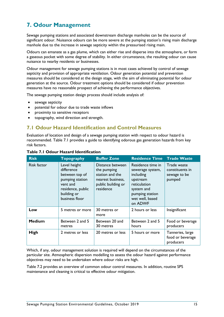# <span id="page-14-0"></span>**7. Odour Management**

Sewage pumping stations and associated downstream discharge manholes can be the source of significant odour. Nuisance odours can be more severe at the pumping station's rising main discharge manhole due to the increase in sewage septicity within the pressurised rising main.

Odours can emanate as a gas plume, which can either rise and disperse into the atmosphere, or form a gaseous pocket with some degree of stability. In either circumstance, the resulting odour can cause nuisance to nearby residents or businesses.

Odour management for sewage pumping stations is in most cases achieved by control of sewage septicity and provision of appropriate ventilation. Odour generation potential and prevention measures should be considered at the design stage, with the aim of eliminating potential for odour generation at the source. Odour treatment options should be considered if odour prevention measures have no reasonable prospect of achieving the performance objectives.

The sewage pumping station design process should include analysis of:

- sewage septicity
- potential for odour due to trade waste inflows
- proximity to sensitive receptors
- topography, wind direction and strength.

## <span id="page-14-1"></span>**7.1 Odour Hazard Identification and Control Measures**

Evaluation of location and design of a sewage pumping station with respect to odour hazard is recommended. Table 7.1 provides a guide to identifying odorous gas generation hazards from key risk factors.

| <b>Risk</b>   | <b>Topography</b>                                                                                                                 | <b>Buffer Zone</b>                                                                                         | <b>Residence Time</b>                                                                                                                         | <b>Trade Waste</b>                                       |
|---------------|-----------------------------------------------------------------------------------------------------------------------------------|------------------------------------------------------------------------------------------------------------|-----------------------------------------------------------------------------------------------------------------------------------------------|----------------------------------------------------------|
| Risk factor   | Level height<br>difference<br>between top of<br>pumping station<br>vent and<br>residence, public<br>building or<br>business floor | Distance between<br>the pumping<br>station and the<br>nearest business,<br>public building or<br>residence | Residence time in<br>sewerage system,<br>including<br>upstream<br>reticulation<br>system and<br>pumping station<br>wet well, based<br>on ADWF | Trade waste<br>constituents in<br>sewage to be<br>pumped |
| Low           | 5 metres or more                                                                                                                  | 30 metres or<br>more                                                                                       | 2 hours or less                                                                                                                               | Insignificant                                            |
| <b>Medium</b> | Between 2 and 5<br>metres                                                                                                         | Between 20 and<br>30 metres                                                                                | Between 2 and 5<br>hours                                                                                                                      | Food or beverage<br>producers                            |
| <b>High</b>   | 2 metres or less                                                                                                                  | 20 metres or less                                                                                          | 5 hours or more                                                                                                                               | Tanneries, large<br>food or beverage<br>producers        |

#### **Table 7.1 Odour Hazard Identification**

Which, if any, odour management solution is required will depend on the circumstances of the particular site. Atmospheric dispersion modelling to assess the odour hazard against performance objectives may need to be undertaken where odour risks are high.

Table 7.2 provides an overview of common odour control measures. In addition, routine SPS maintenance and cleaning is critical to effective odour mitigation.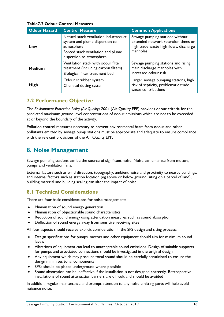#### **Odour Hazard Control Measure Common Applications Low** Natural stack ventilation induct/educt system and plume dispersion to atmosphere Forced stack ventilation and plume dispersion to atmosphere Sewage pumping stations without extended network retention times or high trade waste high flows, discharge manholes **Medium** Ventilation stack with odour filter treatment (including carbon filters) Biological filter treatment bed Sewage pumping stations and rising main discharge manholes with increased odour risk **High** Odour scrubber system Chemical dosing system Larger sewage pumping stations, high risk of septicity, problematic trade waste contributions

## **Table7.2 Odour Control Measures**

## <span id="page-15-0"></span>**7.2 Performance Objective**

The *Environment Protection Policy (Air Quality) 2004* (Air Quality EPP) provides odour criteria for the predicted maximum ground level concentrations of odour emissions which are not to be exceeded at or beyond the boundary of the activity.

Pollution control measures necessary to prevent environmental harm from odour and other pollutants emitted by sewage pump stations must be appropriate and adequate to ensure compliance with the relevant provisions of the Air Quality EPP.

## <span id="page-15-1"></span>**8. Noise Management**

Sewage pumping stations can be the source of significant noise. Noise can emanate from motors, pumps and ventilation fans.

External factors such as wind direction, topography, ambient noise and proximity to nearby buildings, and internal factors such as station location (eg above or below ground, siting on a parcel of land), building material and building sealing can alter the impact of noise.

## <span id="page-15-2"></span>**8.1 Technical Considerations**

There are four basic considerations for noise management:

- Minimisation of sound energy generation
- Minimisation of objectionable sound characteristics
- Reduction of sound energy using attenuation measures such as sound absorption
- Deflection of sound energy away from sensitive receiving sites

All four aspects should receive explicit consideration in the SPS design and siting process:

- Design specifications for pumps, motors and other equipment should aim for minimum sound levels
- Vibrations of equipment can lead to unacceptable sound emissions. Design of suitable supports for pumps and associated connections should be investigated in the original design
- Any equipment which may produce tonal sound should be carefully scrutinised to ensure the design minimises tonal components
- SPSs should be placed underground where possible
- Sound absorption can be ineffective if the installation is not designed correctly. Retrospective installations of sound attenuation barriers are difficult and should be avoided

In addition, regular maintenance and prompt attention to any noise emitting parts will help avoid nuisance noise.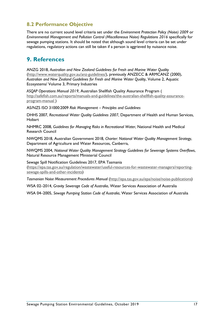## <span id="page-16-0"></span>**8.2 Performance Objective**

There are no current sound level criteria set under the *Environment Protection Policy (Noise) 2009* or *Environmental Management and Pollution Control (Miscellaneous Noise) Regulations 2016* specifically for sewage pumping stations. It should be noted that although sound level criteria can be set under regulations, regulatory actions can still be taken if a person is aggrieved by nuisance noise.

# <span id="page-16-1"></span>**9. References**

ANZG 2018, *Australian and New Zealand Guidelines for Fresh and Marine Water Quality* [\(http://www.waterquality.gov.au/anz-guidelines/\)](http://www.waterquality.gov.au/anz-guidelines/), previously ANZECC & ARMCANZ (2000), *Australian and New Zealand Guidelines for Fresh and Marine Water Quality*, Volume 2, Aquatic Ecosystems/ Volume 3, Primary Industries

*ASQAP Operations Manual 2019*, Australian Shellfish Quality Assurance Program ( [http://safefish.com.au/reports/manuals-and-guidelines/the-australian-shellfish-quality-assurance](http://safefish.com.au/reports/manuals-and-guidelines/the-australian-shellfish-quality-assurance-program-manual)[program-manual](http://safefish.com.au/reports/manuals-and-guidelines/the-australian-shellfish-quality-assurance-program-manual) )

AS/NZS ISO 31000:2009 *Risk Management – Principles and Guidelines*

DHHS 2007, *Recreational Water Quality Guidelines 2007*, Department of Health and Human Services, Hobart

NHMRC 2008, *Guidelines for Managing Risks in Recreational Water*, National Health and Medical Research Council

NWQMS 2018, Australian Government 2018, *Charter: National Water Quality Management Strategy*, Department of Agriculture and Water Resources, Canberra,

NWQMS 2004, *National Water Quality Management Strategy Guidelines for Sewerage Systems Overflows*, Natural Resource Management Ministerial Council

Sewage Spill Notification Guidelines 2017, EPA Tasmania [\(https://epa.tas.gov.au/regulation/wastewater/useful-resources-for-wastewater-managers/reporting](https://epa.tas.gov.au/regulation/wastewater/useful-resources-for-wastewater-managers/reporting-sewage-spills-and-other-incidents)[sewage-spills-and-other-incidents\)](https://epa.tas.gov.au/regulation/wastewater/useful-resources-for-wastewater-managers/reporting-sewage-spills-and-other-incidents)

*Tasmanian Noise Measurement Procedures Manual* [\(http://epa.tas.gov.au/epa/noise/noise-publications\)](http://epa.tas.gov.au/epa/noise/noise-publications)

WSA 02–2014, *Gravity Sewerage Code of Australia*, Water Services Association of Australia

WSA 04–2005, *Sewage Pumping Station Code of Australia*, Water Services Association of Australia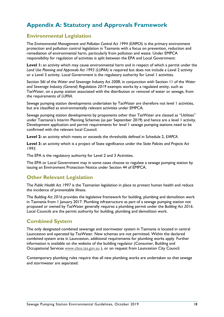# <span id="page-17-0"></span>**Appendix A: Statutory and Approvals Framework**

## <span id="page-17-1"></span>**Environmental Legislation**

The *Environmental Management and Pollution Control Act 1994 (EMPCA)* is the primary environment protection and pollution control legislation in Tasmania with a focus on prevention, reduction and remediation of environmental harm, particularly from pollution and waste. Under EMPCA responsibility for regulation of activities is split between the EPA and Local Government:

**Level 1:** an activity which may cause environmental harm and in respect of which a permit under the *Land Use Planning and Approvals Act 1993 (LUPAA)* is required but does not include a Level 2 activity or a Level 3 activity. Local Government is the regulatory authority for Level 1 activities.

Section 56I of the *Water and Sewerage Industry Act 2008*, in conjunction with Section 11 of the *Water and Sewerage Industry (General) Regulations 2019* exempts works by a regulated entity, such as TasWater, on a pump station associated with the distribution or removal of water or sewage, from the requirements of *LUPAA*.

Sewage pumping station developments undertaken by TasWater are therefore not level 1 activities, but are classified as environmentally relevant activities under EMPCA.

Sewage pumping station developments by proponents other than TasWater are classed as "Utilities" under Tasmania's Interim Planning Schemes (as per September 2019) and hence are a level 1 activity. Development application and permit requirements for level 1 sewage pumping stations need to be confirmed with the relevant local Council.

**Level 2:** an activity which meets or exceeds the thresholds defined in Schedule 2, *EMPCA*.

**Level 3:** an activity which is a project of State significance under the *State Policies and Projects Act 1993*.

The EPA is the regulatory authority for Level 2 and 3 Activities.

The EPA or Local Government may in some cases choose to regulate a sewage pumping station by issuing an Environment Protection Notice under Section 44 of EMPCA.

## <span id="page-17-2"></span>**Other Relevant Legislation**

The *Public Health Act 1997* is the Tasmanian legislation in place to protect human health and reduce the incidence of preventable illness.

The *Building Act 2016* provides the legislative framework for building, plumbing and demolition work in Tasmania from 1 January 2017. Plumbing infrastructure as part of a sewage pumping station not proposed or owned by TasWater generally requires a plumbing permit under the *Building Act 2016*. Local Councils are the permit authority for building, plumbing and demolition work.

## <span id="page-17-3"></span>**Combined System**

The only designated combined sewerage and stormwater system in Tasmania is located in central Launceston and operated by TasWater. New schemes are not permitted. Within the declared combined system area in Launceston, additional requirements for plumbing works apply. Further information is available on the website of the building regulator (Consumer, Building and Occupational Services [www.cbos.tas.gov.au](http://www.cbos.tas.gov.au/) ), or on request from Launceston City Council.

Contemporary plumbing rules require that all new plumbing works are undertaken so that sewage and stormwater are separated.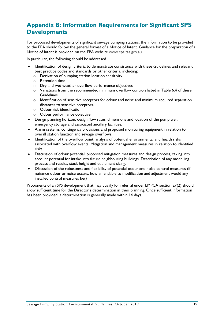# <span id="page-18-0"></span>**Appendix B: Information Requirements for Significant SPS Developments**

For proposed developments of significant sewage pumping stations, the information to be provided to the EPA should follow the general format of a Notice of Intent. Guidance for the preparation of a Notice of Intent is provided on the EPA website [www.epa.tas.gov.au.](http://www.epa.tas.gov.au/)

In particular, the following should be addressed

- Identification of design criteria to demonstrate consistency with these Guidelines and relevant best practice codes and standards or other criteria, including:
	- o Derivation of pumping station location sensitivity
	- o Retention time
	- o Dry and wet weather overflow performance objectives
	- $\circ$  Variations from the recommended minimum overflow controls listed in Table 6.4 of these **Guidelines**
	- o Identification of sensitive receptors for odour and noise and minimum required separation distances to sensitive receptors.
	- o Odour risk identification
	- o Odour performance objective
- Design planning horizon, design flow rates, dimensions and location of the pump well, emergency storage and associated ancillary facilities.
- Alarm systems, contingency provisions and proposed monitoring equipment in relation to overall station function and sewage overflows.
- Identification of the overflow point, analysis of potential environmental and health risks associated with overflow events. Mitigation and management measures in relation to identified risks.
- Discussion of odour potential, proposed mitigation measures and design process, taking into account potential for intake into future neighbouring buildings. Description of any modelling process and results, stack height and equipment sizing.
- Discussion of the robustness and flexibility of potential odour and noise control measures (if nuisance odour or noise occurs, how amendable to modification and adjustment would any installed control measures be?)

Proponents of an SPS development that may qualify for referral under EMPCA section 27(2) should allow sufficient time for the Director's determination in their planning. Once sufficient information has been provided, a determination is generally made within 14 days.